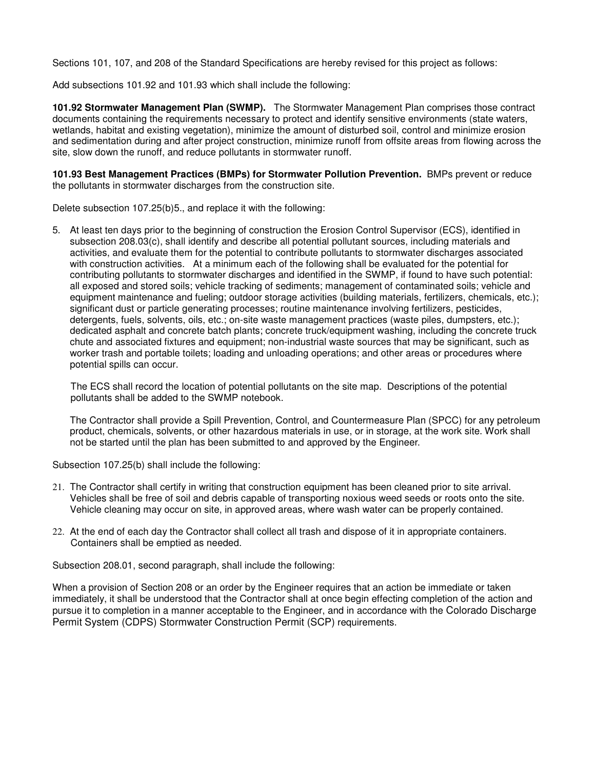Sections 101, 107, and 208 of the Standard Specifications are hereby revised for this project as follows:

Add subsections 101.92 and 101.93 which shall include the following:

**101.92 Stormwater Management Plan (SWMP).** The Stormwater Management Plan comprises those contract documents containing the requirements necessary to protect and identify sensitive environments (state waters, wetlands, habitat and existing vegetation), minimize the amount of disturbed soil, control and minimize erosion and sedimentation during and after project construction, minimize runoff from offsite areas from flowing across the site, slow down the runoff, and reduce pollutants in stormwater runoff.

**101.93 Best Management Practices (BMPs) for Stormwater Pollution Prevention.** BMPs prevent or reduce the pollutants in stormwater discharges from the construction site.

Delete subsection 107.25(b)5., and replace it with the following:

5. At least ten days prior to the beginning of construction the Erosion Control Supervisor (ECS), identified in subsection 208.03(c), shall identify and describe all potential pollutant sources, including materials and activities, and evaluate them for the potential to contribute pollutants to stormwater discharges associated with construction activities. At a minimum each of the following shall be evaluated for the potential for contributing pollutants to stormwater discharges and identified in the SWMP, if found to have such potential: all exposed and stored soils; vehicle tracking of sediments; management of contaminated soils; vehicle and equipment maintenance and fueling; outdoor storage activities (building materials, fertilizers, chemicals, etc.); significant dust or particle generating processes; routine maintenance involving fertilizers, pesticides, detergents, fuels, solvents, oils, etc.; on-site waste management practices (waste piles, dumpsters, etc.); dedicated asphalt and concrete batch plants; concrete truck/equipment washing, including the concrete truck chute and associated fixtures and equipment; non-industrial waste sources that may be significant, such as worker trash and portable toilets; loading and unloading operations; and other areas or procedures where potential spills can occur.

The ECS shall record the location of potential pollutants on the site map. Descriptions of the potential pollutants shall be added to the SWMP notebook.

The Contractor shall provide a Spill Prevention, Control, and Countermeasure Plan (SPCC) for any petroleum product, chemicals, solvents, or other hazardous materials in use, or in storage, at the work site. Work shall not be started until the plan has been submitted to and approved by the Engineer.

Subsection 107.25(b) shall include the following:

- 21. The Contractor shall certify in writing that construction equipment has been cleaned prior to site arrival. Vehicles shall be free of soil and debris capable of transporting noxious weed seeds or roots onto the site. Vehicle cleaning may occur on site, in approved areas, where wash water can be properly contained.
- 22. At the end of each day the Contractor shall collect all trash and dispose of it in appropriate containers. Containers shall be emptied as needed.

Subsection 208.01, second paragraph, shall include the following:

When a provision of Section 208 or an order by the Engineer requires that an action be immediate or taken immediately, it shall be understood that the Contractor shall at once begin effecting completion of the action and pursue it to completion in a manner acceptable to the Engineer, and in accordance with the Colorado Discharge Permit System (CDPS) Stormwater Construction Permit (SCP) requirements.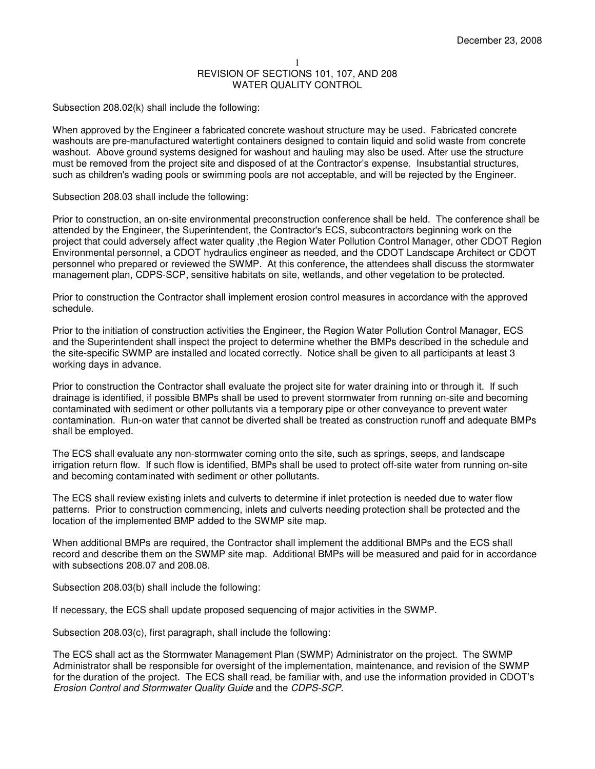Subsection 208.02(k) shall include the following:

When approved by the Engineer a fabricated concrete washout structure may be used. Fabricated concrete washouts are pre-manufactured watertight containers designed to contain liquid and solid waste from concrete washout. Above ground systems designed for washout and hauling may also be used. After use the structure must be removed from the project site and disposed of at the Contractor's expense. Insubstantial structures, such as children's wading pools or swimming pools are not acceptable, and will be rejected by the Engineer.

Subsection 208.03 shall include the following:

Prior to construction, an on-site environmental preconstruction conference shall be held. The conference shall be attended by the Engineer, the Superintendent, the Contractor's ECS, subcontractors beginning work on the project that could adversely affect water quality ,the Region Water Pollution Control Manager, other CDOT Region Environmental personnel, a CDOT hydraulics engineer as needed, and the CDOT Landscape Architect or CDOT personnel who prepared or reviewed the SWMP. At this conference, the attendees shall discuss the stormwater management plan, CDPS-SCP, sensitive habitats on site, wetlands, and other vegetation to be protected.

Prior to construction the Contractor shall implement erosion control measures in accordance with the approved schedule.

Prior to the initiation of construction activities the Engineer, the Region Water Pollution Control Manager, ECS and the Superintendent shall inspect the project to determine whether the BMPs described in the schedule and the site-specific SWMP are installed and located correctly. Notice shall be given to all participants at least 3 working days in advance.

Prior to construction the Contractor shall evaluate the project site for water draining into or through it. If such drainage is identified, if possible BMPs shall be used to prevent stormwater from running on-site and becoming contaminated with sediment or other pollutants via a temporary pipe or other conveyance to prevent water contamination. Run-on water that cannot be diverted shall be treated as construction runoff and adequate BMPs shall be employed.

The ECS shall evaluate any non-stormwater coming onto the site, such as springs, seeps, and landscape irrigation return flow. If such flow is identified, BMPs shall be used to protect off-site water from running on-site and becoming contaminated with sediment or other pollutants.

The ECS shall review existing inlets and culverts to determine if inlet protection is needed due to water flow patterns. Prior to construction commencing, inlets and culverts needing protection shall be protected and the location of the implemented BMP added to the SWMP site map.

When additional BMPs are required, the Contractor shall implement the additional BMPs and the ECS shall record and describe them on the SWMP site map. Additional BMPs will be measured and paid for in accordance with subsections 208.07 and 208.08.

Subsection 208.03(b) shall include the following:

If necessary, the ECS shall update proposed sequencing of major activities in the SWMP.

Subsection 208.03(c), first paragraph, shall include the following:

The ECS shall act as the Stormwater Management Plan (SWMP) Administrator on the project. The SWMP Administrator shall be responsible for oversight of the implementation, maintenance, and revision of the SWMP for the duration of the project. The ECS shall read, be familiar with, and use the information provided in CDOT's Erosion Control and Stormwater Quality Guide and the CDPS-SCP.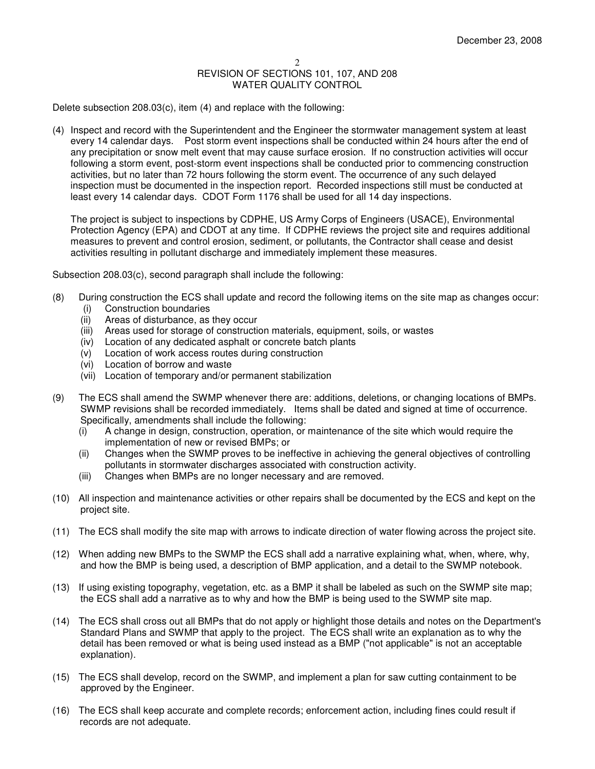Delete subsection 208.03(c), item (4) and replace with the following:

(4) Inspect and record with the Superintendent and the Engineer the stormwater management system at least every 14 calendar days. Post storm event inspections shall be conducted within 24 hours after the end of any precipitation or snow melt event that may cause surface erosion. If no construction activities will occur following a storm event, post-storm event inspections shall be conducted prior to commencing construction activities, but no later than 72 hours following the storm event. The occurrence of any such delayed inspection must be documented in the inspection report. Recorded inspections still must be conducted at least every 14 calendar days. CDOT Form 1176 shall be used for all 14 day inspections.

The project is subject to inspections by CDPHE, US Army Corps of Engineers (USACE), Environmental Protection Agency (EPA) and CDOT at any time. If CDPHE reviews the project site and requires additional measures to prevent and control erosion, sediment, or pollutants, the Contractor shall cease and desist activities resulting in pollutant discharge and immediately implement these measures.

Subsection 208.03(c), second paragraph shall include the following:

- (8) During construction the ECS shall update and record the following items on the site map as changes occur:
	- (i) Construction boundaries
	- (ii) Areas of disturbance, as they occur
	- (iii) Areas used for storage of construction materials, equipment, soils, or wastes
	- (iv) Location of any dedicated asphalt or concrete batch plants
	- (v) Location of work access routes during construction
	- (vi) Location of borrow and waste
	- (vii) Location of temporary and/or permanent stabilization
- (9) The ECS shall amend the SWMP whenever there are: additions, deletions, or changing locations of BMPs. SWMP revisions shall be recorded immediately. Items shall be dated and signed at time of occurrence. Specifically, amendments shall include the following:
	- (i) A change in design, construction, operation, or maintenance of the site which would require the implementation of new or revised BMPs; or
	- (ii) Changes when the SWMP proves to be ineffective in achieving the general objectives of controlling pollutants in stormwater discharges associated with construction activity.
	- (iii) Changes when BMPs are no longer necessary and are removed.
- (10) All inspection and maintenance activities or other repairs shall be documented by the ECS and kept on the project site.
- (11) The ECS shall modify the site map with arrows to indicate direction of water flowing across the project site.
- (12) When adding new BMPs to the SWMP the ECS shall add a narrative explaining what, when, where, why, and how the BMP is being used, a description of BMP application, and a detail to the SWMP notebook.
- (13) If using existing topography, vegetation, etc. as a BMP it shall be labeled as such on the SWMP site map; the ECS shall add a narrative as to why and how the BMP is being used to the SWMP site map.
- (14) The ECS shall cross out all BMPs that do not apply or highlight those details and notes on the Department's Standard Plans and SWMP that apply to the project. The ECS shall write an explanation as to why the detail has been removed or what is being used instead as a BMP ("not applicable" is not an acceptable explanation).
- (15) The ECS shall develop, record on the SWMP, and implement a plan for saw cutting containment to be approved by the Engineer.
- (16) The ECS shall keep accurate and complete records; enforcement action, including fines could result if records are not adequate.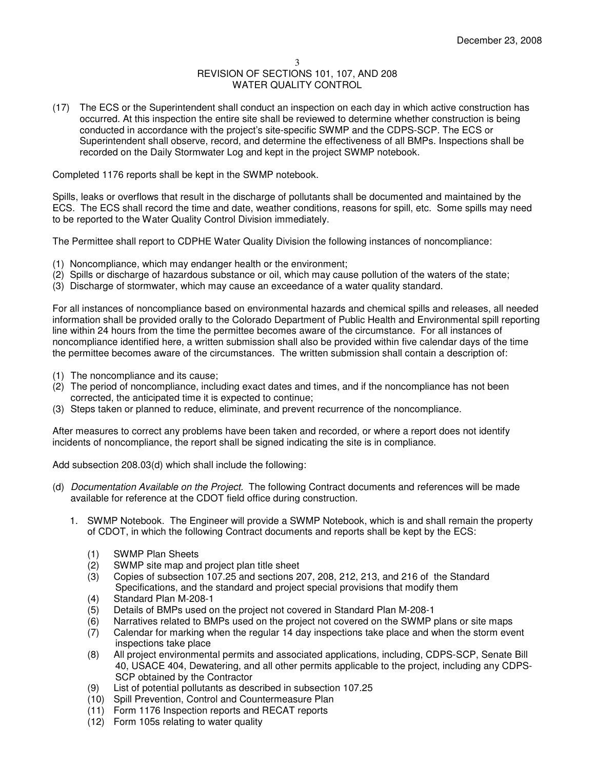(17) The ECS or the Superintendent shall conduct an inspection on each day in which active construction has occurred. At this inspection the entire site shall be reviewed to determine whether construction is being conducted in accordance with the project's site-specific SWMP and the CDPS-SCP. The ECS or Superintendent shall observe, record, and determine the effectiveness of all BMPs. Inspections shall be recorded on the Daily Stormwater Log and kept in the project SWMP notebook.

Completed 1176 reports shall be kept in the SWMP notebook.

Spills, leaks or overflows that result in the discharge of pollutants shall be documented and maintained by the ECS. The ECS shall record the time and date, weather conditions, reasons for spill, etc. Some spills may need to be reported to the Water Quality Control Division immediately.

The Permittee shall report to CDPHE Water Quality Division the following instances of noncompliance:

- (1) Noncompliance, which may endanger health or the environment;
- (2) Spills or discharge of hazardous substance or oil, which may cause pollution of the waters of the state;
- (3) Discharge of stormwater, which may cause an exceedance of a water quality standard.

For all instances of noncompliance based on environmental hazards and chemical spills and releases, all needed information shall be provided orally to the Colorado Department of Public Health and Environmental spill reporting line within 24 hours from the time the permittee becomes aware of the circumstance. For all instances of noncompliance identified here, a written submission shall also be provided within five calendar days of the time the permittee becomes aware of the circumstances. The written submission shall contain a description of:

- (1) The noncompliance and its cause;
- (2) The period of noncompliance, including exact dates and times, and if the noncompliance has not been corrected, the anticipated time it is expected to continue;
- (3) Steps taken or planned to reduce, eliminate, and prevent recurrence of the noncompliance.

After measures to correct any problems have been taken and recorded, or where a report does not identify incidents of noncompliance, the report shall be signed indicating the site is in compliance.

Add subsection 208.03(d) which shall include the following:

- (d) Documentation Available on the Project. The following Contract documents and references will be made available for reference at the CDOT field office during construction.
	- 1. SWMP Notebook. The Engineer will provide a SWMP Notebook, which is and shall remain the property of CDOT, in which the following Contract documents and reports shall be kept by the ECS:
		- (1) SWMP Plan Sheets
		- (2) SWMP site map and project plan title sheet
		- (3) Copies of subsection 107.25 and sections 207, 208, 212, 213, and 216 of the Standard Specifications, and the standard and project special provisions that modify them
		- (4) Standard Plan M-208-1
		- (5) Details of BMPs used on the project not covered in Standard Plan M-208-1
		- (6) Narratives related to BMPs used on the project not covered on the SWMP plans or site maps
		- (7) Calendar for marking when the regular 14 day inspections take place and when the storm event inspections take place
		- (8) All project environmental permits and associated applications, including, CDPS-SCP, Senate Bill 40, USACE 404, Dewatering, and all other permits applicable to the project, including any CDPS-SCP obtained by the Contractor
		- (9) List of potential pollutants as described in subsection 107.25
		- (10) Spill Prevention, Control and Countermeasure Plan
		- (11) Form 1176 Inspection reports and RECAT reports
		- (12) Form 105s relating to water quality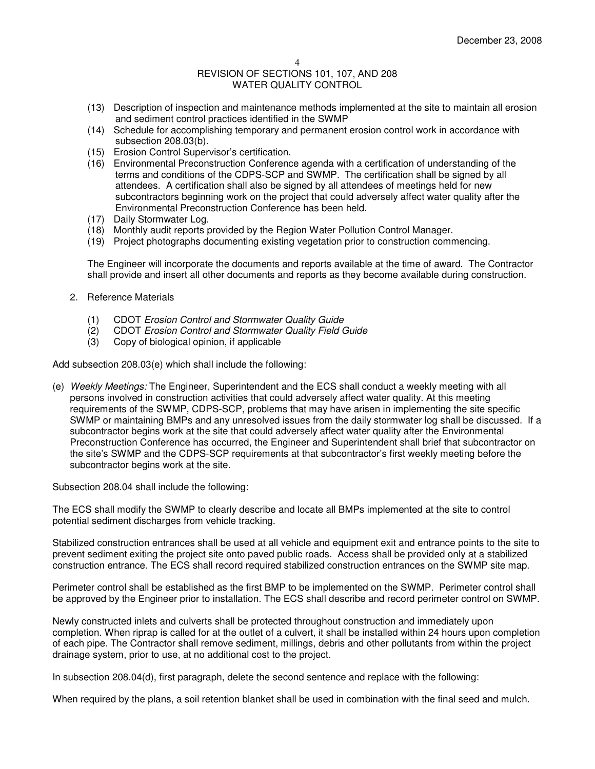- (13) Description of inspection and maintenance methods implemented at the site to maintain all erosion and sediment control practices identified in the SWMP
- (14) Schedule for accomplishing temporary and permanent erosion control work in accordance with subsection 208.03(b).
- (15) Erosion Control Supervisor's certification.
- (16) Environmental Preconstruction Conference agenda with a certification of understanding of the terms and conditions of the CDPS-SCP and SWMP. The certification shall be signed by all attendees. A certification shall also be signed by all attendees of meetings held for new subcontractors beginning work on the project that could adversely affect water quality after the Environmental Preconstruction Conference has been held.
- (17) Daily Stormwater Log.
- (18) Monthly audit reports provided by the Region Water Pollution Control Manager.
- (19) Project photographs documenting existing vegetation prior to construction commencing.

The Engineer will incorporate the documents and reports available at the time of award. The Contractor shall provide and insert all other documents and reports as they become available during construction.

- 2. Reference Materials
	- (1) CDOT Erosion Control and Stormwater Quality Guide
	- (2) CDOT Erosion Control and Stormwater Quality Field Guide
	- (3) Copy of biological opinion, if applicable

Add subsection 208.03(e) which shall include the following:

(e) Weekly Meetings: The Engineer, Superintendent and the ECS shall conduct a weekly meeting with all persons involved in construction activities that could adversely affect water quality. At this meeting requirements of the SWMP, CDPS-SCP, problems that may have arisen in implementing the site specific SWMP or maintaining BMPs and any unresolved issues from the daily stormwater log shall be discussed. If a subcontractor begins work at the site that could adversely affect water quality after the Environmental Preconstruction Conference has occurred, the Engineer and Superintendent shall brief that subcontractor on the site's SWMP and the CDPS-SCP requirements at that subcontractor's first weekly meeting before the subcontractor begins work at the site.

Subsection 208.04 shall include the following:

The ECS shall modify the SWMP to clearly describe and locate all BMPs implemented at the site to control potential sediment discharges from vehicle tracking.

Stabilized construction entrances shall be used at all vehicle and equipment exit and entrance points to the site to prevent sediment exiting the project site onto paved public roads. Access shall be provided only at a stabilized construction entrance. The ECS shall record required stabilized construction entrances on the SWMP site map.

Perimeter control shall be established as the first BMP to be implemented on the SWMP. Perimeter control shall be approved by the Engineer prior to installation. The ECS shall describe and record perimeter control on SWMP.

Newly constructed inlets and culverts shall be protected throughout construction and immediately upon completion. When riprap is called for at the outlet of a culvert, it shall be installed within 24 hours upon completion of each pipe. The Contractor shall remove sediment, millings, debris and other pollutants from within the project drainage system, prior to use, at no additional cost to the project.

In subsection 208.04(d), first paragraph, delete the second sentence and replace with the following:

When required by the plans, a soil retention blanket shall be used in combination with the final seed and mulch.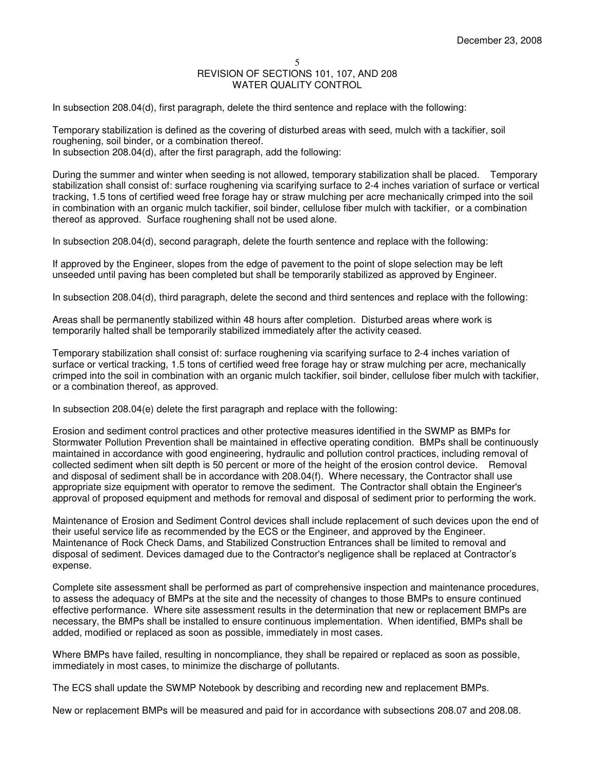In subsection 208.04(d), first paragraph, delete the third sentence and replace with the following:

Temporary stabilization is defined as the covering of disturbed areas with seed, mulch with a tackifier, soil roughening, soil binder, or a combination thereof. In subsection 208.04(d), after the first paragraph, add the following:

During the summer and winter when seeding is not allowed, temporary stabilization shall be placed. Temporary stabilization shall consist of: surface roughening via scarifying surface to 2-4 inches variation of surface or vertical tracking, 1.5 tons of certified weed free forage hay or straw mulching per acre mechanically crimped into the soil in combination with an organic mulch tackifier, soil binder, cellulose fiber mulch with tackifier, or a combination thereof as approved. Surface roughening shall not be used alone.

In subsection 208.04(d), second paragraph, delete the fourth sentence and replace with the following:

If approved by the Engineer, slopes from the edge of pavement to the point of slope selection may be left unseeded until paving has been completed but shall be temporarily stabilized as approved by Engineer.

In subsection 208.04(d), third paragraph, delete the second and third sentences and replace with the following:

Areas shall be permanently stabilized within 48 hours after completion. Disturbed areas where work is temporarily halted shall be temporarily stabilized immediately after the activity ceased.

Temporary stabilization shall consist of: surface roughening via scarifying surface to 2-4 inches variation of surface or vertical tracking, 1.5 tons of certified weed free forage hay or straw mulching per acre, mechanically crimped into the soil in combination with an organic mulch tackifier, soil binder, cellulose fiber mulch with tackifier, or a combination thereof, as approved.

In subsection 208.04(e) delete the first paragraph and replace with the following:

Erosion and sediment control practices and other protective measures identified in the SWMP as BMPs for Stormwater Pollution Prevention shall be maintained in effective operating condition. BMPs shall be continuously maintained in accordance with good engineering, hydraulic and pollution control practices, including removal of collected sediment when silt depth is 50 percent or more of the height of the erosion control device. Removal and disposal of sediment shall be in accordance with 208.04(f). Where necessary, the Contractor shall use appropriate size equipment with operator to remove the sediment. The Contractor shall obtain the Engineer's approval of proposed equipment and methods for removal and disposal of sediment prior to performing the work.

Maintenance of Erosion and Sediment Control devices shall include replacement of such devices upon the end of their useful service life as recommended by the ECS or the Engineer, and approved by the Engineer. Maintenance of Rock Check Dams, and Stabilized Construction Entrances shall be limited to removal and disposal of sediment. Devices damaged due to the Contractor's negligence shall be replaced at Contractor's expense.

Complete site assessment shall be performed as part of comprehensive inspection and maintenance procedures, to assess the adequacy of BMPs at the site and the necessity of changes to those BMPs to ensure continued effective performance. Where site assessment results in the determination that new or replacement BMPs are necessary, the BMPs shall be installed to ensure continuous implementation. When identified, BMPs shall be added, modified or replaced as soon as possible, immediately in most cases.

Where BMPs have failed, resulting in noncompliance, they shall be repaired or replaced as soon as possible, immediately in most cases, to minimize the discharge of pollutants.

The ECS shall update the SWMP Notebook by describing and recording new and replacement BMPs.

New or replacement BMPs will be measured and paid for in accordance with subsections 208.07 and 208.08.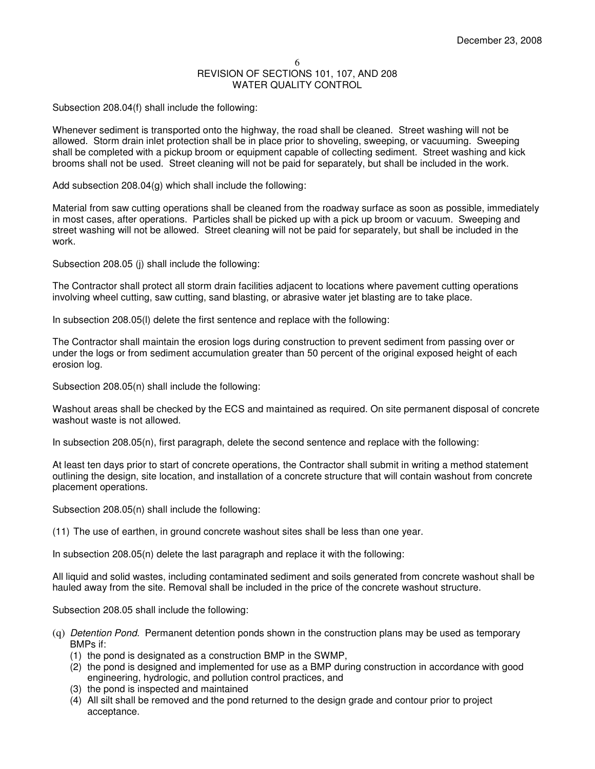Subsection 208.04(f) shall include the following:

Whenever sediment is transported onto the highway, the road shall be cleaned. Street washing will not be allowed. Storm drain inlet protection shall be in place prior to shoveling, sweeping, or vacuuming. Sweeping shall be completed with a pickup broom or equipment capable of collecting sediment. Street washing and kick brooms shall not be used. Street cleaning will not be paid for separately, but shall be included in the work.

Add subsection 208.04(g) which shall include the following:

Material from saw cutting operations shall be cleaned from the roadway surface as soon as possible, immediately in most cases, after operations. Particles shall be picked up with a pick up broom or vacuum. Sweeping and street washing will not be allowed. Street cleaning will not be paid for separately, but shall be included in the work.

Subsection 208.05 (j) shall include the following:

The Contractor shall protect all storm drain facilities adjacent to locations where pavement cutting operations involving wheel cutting, saw cutting, sand blasting, or abrasive water jet blasting are to take place.

In subsection 208.05(l) delete the first sentence and replace with the following:

The Contractor shall maintain the erosion logs during construction to prevent sediment from passing over or under the logs or from sediment accumulation greater than 50 percent of the original exposed height of each erosion log.

Subsection 208.05(n) shall include the following:

Washout areas shall be checked by the ECS and maintained as required. On site permanent disposal of concrete washout waste is not allowed.

In subsection 208.05(n), first paragraph, delete the second sentence and replace with the following:

At least ten days prior to start of concrete operations, the Contractor shall submit in writing a method statement outlining the design, site location, and installation of a concrete structure that will contain washout from concrete placement operations.

Subsection 208.05(n) shall include the following:

(11) The use of earthen, in ground concrete washout sites shall be less than one year.

In subsection 208.05(n) delete the last paragraph and replace it with the following:

All liquid and solid wastes, including contaminated sediment and soils generated from concrete washout shall be hauled away from the site. Removal shall be included in the price of the concrete washout structure.

Subsection 208.05 shall include the following:

- (q) Detention Pond. Permanent detention ponds shown in the construction plans may be used as temporary BMPs if:
	- (1) the pond is designated as a construction BMP in the SWMP,
	- (2) the pond is designed and implemented for use as a BMP during construction in accordance with good engineering, hydrologic, and pollution control practices, and
	- (3) the pond is inspected and maintained
	- (4) All silt shall be removed and the pond returned to the design grade and contour prior to project acceptance.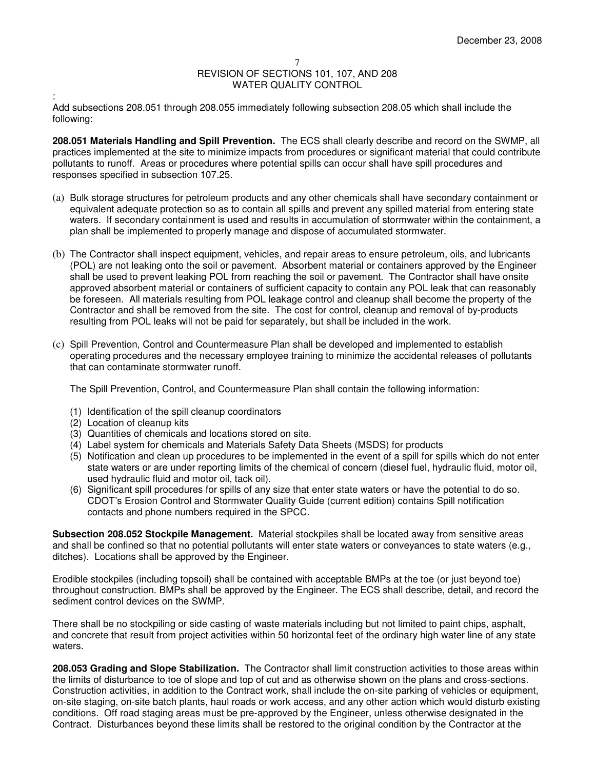#### 7

# REVISION OF SECTIONS 101, 107, AND 208 WATER QUALITY CONTROL

: Add subsections 208.051 through 208.055 immediately following subsection 208.05 which shall include the following:

**208.051 Materials Handling and Spill Prevention.** The ECS shall clearly describe and record on the SWMP, all practices implemented at the site to minimize impacts from procedures or significant material that could contribute pollutants to runoff. Areas or procedures where potential spills can occur shall have spill procedures and responses specified in subsection 107.25.

- (a) Bulk storage structures for petroleum products and any other chemicals shall have secondary containment or equivalent adequate protection so as to contain all spills and prevent any spilled material from entering state waters. If secondary containment is used and results in accumulation of stormwater within the containment, a plan shall be implemented to properly manage and dispose of accumulated stormwater.
- (b) The Contractor shall inspect equipment, vehicles, and repair areas to ensure petroleum, oils, and lubricants (POL) are not leaking onto the soil or pavement. Absorbent material or containers approved by the Engineer shall be used to prevent leaking POL from reaching the soil or pavement. The Contractor shall have onsite approved absorbent material or containers of sufficient capacity to contain any POL leak that can reasonably be foreseen. All materials resulting from POL leakage control and cleanup shall become the property of the Contractor and shall be removed from the site. The cost for control, cleanup and removal of by-products resulting from POL leaks will not be paid for separately, but shall be included in the work.
- (c) Spill Prevention, Control and Countermeasure Plan shall be developed and implemented to establish operating procedures and the necessary employee training to minimize the accidental releases of pollutants that can contaminate stormwater runoff.

The Spill Prevention, Control, and Countermeasure Plan shall contain the following information:

- (1) Identification of the spill cleanup coordinators
- (2) Location of cleanup kits
- (3) Quantities of chemicals and locations stored on site.
- (4) Label system for chemicals and Materials Safety Data Sheets (MSDS) for products
- (5) Notification and clean up procedures to be implemented in the event of a spill for spills which do not enter state waters or are under reporting limits of the chemical of concern (diesel fuel, hydraulic fluid, motor oil, used hydraulic fluid and motor oil, tack oil).
- (6) Significant spill procedures for spills of any size that enter state waters or have the potential to do so. CDOT's Erosion Control and Stormwater Quality Guide (current edition) contains Spill notification contacts and phone numbers required in the SPCC.

**Subsection 208.052 Stockpile Management.** Material stockpiles shall be located away from sensitive areas and shall be confined so that no potential pollutants will enter state waters or conveyances to state waters (e.g., ditches). Locations shall be approved by the Engineer.

Erodible stockpiles (including topsoil) shall be contained with acceptable BMPs at the toe (or just beyond toe) throughout construction. BMPs shall be approved by the Engineer. The ECS shall describe, detail, and record the sediment control devices on the SWMP.

There shall be no stockpiling or side casting of waste materials including but not limited to paint chips, asphalt, and concrete that result from project activities within 50 horizontal feet of the ordinary high water line of any state waters.

**208.053 Grading and Slope Stabilization.** The Contractor shall limit construction activities to those areas within the limits of disturbance to toe of slope and top of cut and as otherwise shown on the plans and cross-sections. Construction activities, in addition to the Contract work, shall include the on-site parking of vehicles or equipment, on-site staging, on-site batch plants, haul roads or work access, and any other action which would disturb existing conditions. Off road staging areas must be pre-approved by the Engineer, unless otherwise designated in the Contract. Disturbances beyond these limits shall be restored to the original condition by the Contractor at the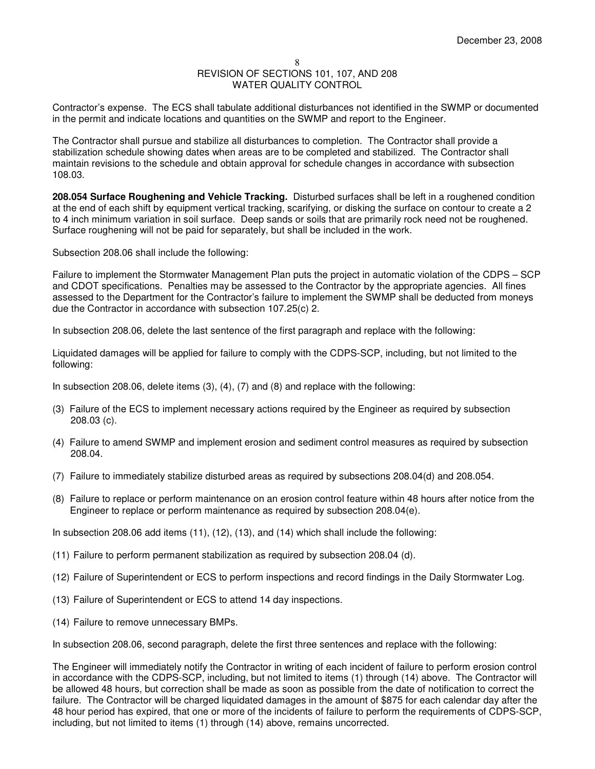Contractor's expense. The ECS shall tabulate additional disturbances not identified in the SWMP or documented in the permit and indicate locations and quantities on the SWMP and report to the Engineer.

The Contractor shall pursue and stabilize all disturbances to completion. The Contractor shall provide a stabilization schedule showing dates when areas are to be completed and stabilized. The Contractor shall maintain revisions to the schedule and obtain approval for schedule changes in accordance with subsection 108.03.

**208.054 Surface Roughening and Vehicle Tracking.** Disturbed surfaces shall be left in a roughened condition at the end of each shift by equipment vertical tracking, scarifying, or disking the surface on contour to create a 2 to 4 inch minimum variation in soil surface. Deep sands or soils that are primarily rock need not be roughened. Surface roughening will not be paid for separately, but shall be included in the work.

Subsection 208.06 shall include the following:

Failure to implement the Stormwater Management Plan puts the project in automatic violation of the CDPS – SCP and CDOT specifications. Penalties may be assessed to the Contractor by the appropriate agencies. All fines assessed to the Department for the Contractor's failure to implement the SWMP shall be deducted from moneys due the Contractor in accordance with subsection 107.25(c) 2.

In subsection 208.06, delete the last sentence of the first paragraph and replace with the following:

Liquidated damages will be applied for failure to comply with the CDPS-SCP, including, but not limited to the following:

In subsection 208.06, delete items (3), (4), (7) and (8) and replace with the following:

- (3) Failure of the ECS to implement necessary actions required by the Engineer as required by subsection 208.03 (c).
- (4) Failure to amend SWMP and implement erosion and sediment control measures as required by subsection 208.04.
- (7) Failure to immediately stabilize disturbed areas as required by subsections 208.04(d) and 208.054.
- (8) Failure to replace or perform maintenance on an erosion control feature within 48 hours after notice from the Engineer to replace or perform maintenance as required by subsection 208.04(e).

In subsection 208.06 add items (11), (12), (13), and (14) which shall include the following:

- (11) Failure to perform permanent stabilization as required by subsection 208.04 (d).
- (12) Failure of Superintendent or ECS to perform inspections and record findings in the Daily Stormwater Log.
- (13) Failure of Superintendent or ECS to attend 14 day inspections.
- (14) Failure to remove unnecessary BMPs.

In subsection 208.06, second paragraph, delete the first three sentences and replace with the following:

The Engineer will immediately notify the Contractor in writing of each incident of failure to perform erosion control in accordance with the CDPS-SCP, including, but not limited to items (1) through (14) above. The Contractor will be allowed 48 hours, but correction shall be made as soon as possible from the date of notification to correct the failure. The Contractor will be charged liquidated damages in the amount of \$875 for each calendar day after the 48 hour period has expired, that one or more of the incidents of failure to perform the requirements of CDPS-SCP, including, but not limited to items (1) through (14) above, remains uncorrected.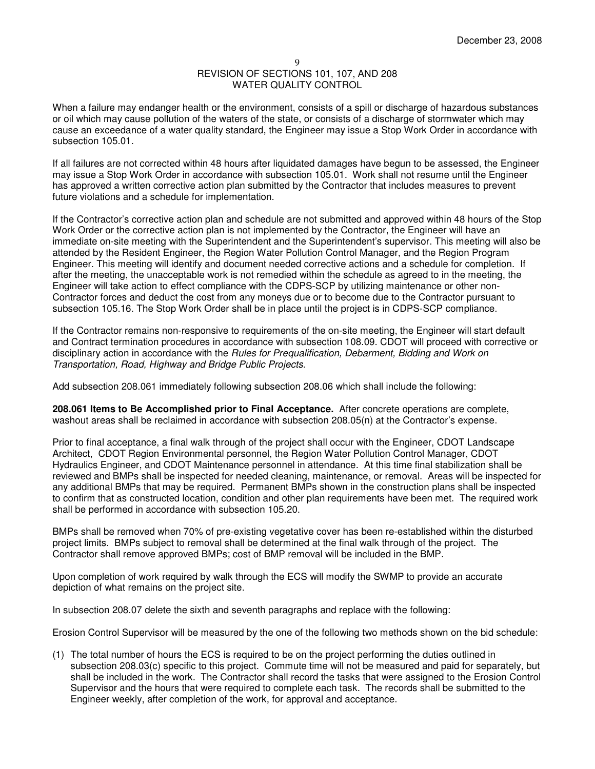When a failure may endanger health or the environment, consists of a spill or discharge of hazardous substances or oil which may cause pollution of the waters of the state, or consists of a discharge of stormwater which may cause an exceedance of a water quality standard, the Engineer may issue a Stop Work Order in accordance with subsection 105.01.

If all failures are not corrected within 48 hours after liquidated damages have begun to be assessed, the Engineer may issue a Stop Work Order in accordance with subsection 105.01. Work shall not resume until the Engineer has approved a written corrective action plan submitted by the Contractor that includes measures to prevent future violations and a schedule for implementation.

If the Contractor's corrective action plan and schedule are not submitted and approved within 48 hours of the Stop Work Order or the corrective action plan is not implemented by the Contractor, the Engineer will have an immediate on-site meeting with the Superintendent and the Superintendent's supervisor. This meeting will also be attended by the Resident Engineer, the Region Water Pollution Control Manager, and the Region Program Engineer. This meeting will identify and document needed corrective actions and a schedule for completion. If after the meeting, the unacceptable work is not remedied within the schedule as agreed to in the meeting, the Engineer will take action to effect compliance with the CDPS-SCP by utilizing maintenance or other non-Contractor forces and deduct the cost from any moneys due or to become due to the Contractor pursuant to subsection 105.16. The Stop Work Order shall be in place until the project is in CDPS-SCP compliance.

If the Contractor remains non-responsive to requirements of the on-site meeting, the Engineer will start default and Contract termination procedures in accordance with subsection 108.09. CDOT will proceed with corrective or disciplinary action in accordance with the Rules for Prequalification, Debarment, Bidding and Work on Transportation, Road, Highway and Bridge Public Projects.

Add subsection 208.061 immediately following subsection 208.06 which shall include the following:

**208.061 Items to Be Accomplished prior to Final Acceptance.** After concrete operations are complete, washout areas shall be reclaimed in accordance with subsection 208.05(n) at the Contractor's expense.

Prior to final acceptance, a final walk through of the project shall occur with the Engineer, CDOT Landscape Architect, CDOT Region Environmental personnel, the Region Water Pollution Control Manager, CDOT Hydraulics Engineer, and CDOT Maintenance personnel in attendance. At this time final stabilization shall be reviewed and BMPs shall be inspected for needed cleaning, maintenance, or removal. Areas will be inspected for any additional BMPs that may be required. Permanent BMPs shown in the construction plans shall be inspected to confirm that as constructed location, condition and other plan requirements have been met. The required work shall be performed in accordance with subsection 105.20.

BMPs shall be removed when 70% of pre-existing vegetative cover has been re-established within the disturbed project limits. BMPs subject to removal shall be determined at the final walk through of the project. The Contractor shall remove approved BMPs; cost of BMP removal will be included in the BMP.

Upon completion of work required by walk through the ECS will modify the SWMP to provide an accurate depiction of what remains on the project site.

In subsection 208.07 delete the sixth and seventh paragraphs and replace with the following:

Erosion Control Supervisor will be measured by the one of the following two methods shown on the bid schedule:

(1) The total number of hours the ECS is required to be on the project performing the duties outlined in subsection 208.03(c) specific to this project. Commute time will not be measured and paid for separately, but shall be included in the work. The Contractor shall record the tasks that were assigned to the Erosion Control Supervisor and the hours that were required to complete each task. The records shall be submitted to the Engineer weekly, after completion of the work, for approval and acceptance.